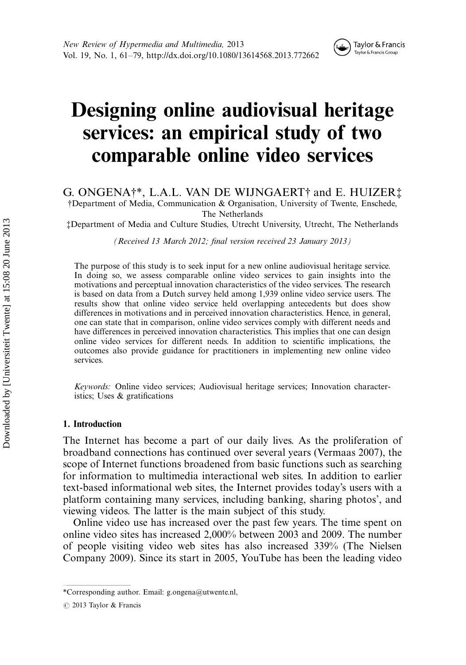

# Designing online audiovisual heritage services: an empirical study of two comparable online video services

G. ONGENA $\dagger^*$ , L.A.L. VAN DE WIJNGAERT $\dagger$  and E. HUIZER $\dagger$ \$Department of Media, Communication & Organisation, University of Twente, Enschede, The Netherlands

%Department of Media and Culture Studies, Utrecht University, Utrecht, The Netherlands

(Received 13 March 2012; final version received 23 January 2013)

The purpose of this study is to seek input for a new online audiovisual heritage service. In doing so, we assess comparable online video services to gain insights into the motivations and perceptual innovation characteristics of the video services. The research is based on data from a Dutch survey held among 1,939 online video service users. The results show that online video service held overlapping antecedents but does show differences in motivations and in perceived innovation characteristics. Hence, in general, one can state that in comparison, online video services comply with different needs and have differences in perceived innovation characteristics. This implies that one can design online video services for different needs. In addition to scientific implications, the outcomes also provide guidance for practitioners in implementing new online video services.

Keywords: Online video services; Audiovisual heritage services; Innovation characteristics; Uses & gratifications

### 1. Introduction

The Internet has become a part of our daily lives. As the proliferation of broadband connections has continued over several years (Vermaas 2007), the scope of Internet functions broadened from basic functions such as searching for information to multimedia interactional web sites. In addition to earlier text-based informational web sites, the Internet provides today's users with a platform containing many services, including banking, sharing photos', and viewing videos. The latter is the main subject of this study.

Online video use has increased over the past few years. The time spent on online video sites has increased 2,000% between 2003 and 2009. The number of people visiting video web sites has also increased 339% (The Nielsen Company 2009). Since its start in 2005, YouTube has been the leading video

<sup>\*</sup>Corresponding author. Email: g.ongena@utwente.nl,

 $\odot$  2013 Taylor & Francis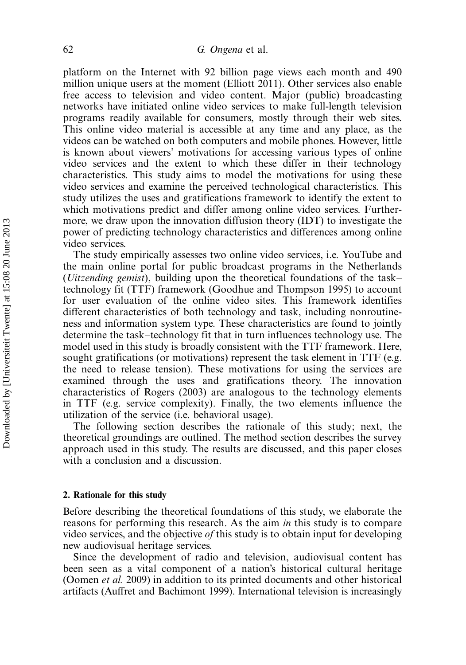platform on the Internet with 92 billion page views each month and 490 million unique users at the moment (Elliott 2011). Other services also enable free access to television and video content. Major (public) broadcasting networks have initiated online video services to make full-length television programs readily available for consumers, mostly through their web sites. This online video material is accessible at any time and any place, as the videos can be watched on both computers and mobile phones. However, little is known about viewers' motivations for accessing various types of online video services and the extent to which these differ in their technology characteristics. This study aims to model the motivations for using these video services and examine the perceived technological characteristics. This study utilizes the uses and gratifications framework to identify the extent to which motivations predict and differ among online video services. Furthermore, we draw upon the innovation diffusion theory (IDT) to investigate the power of predicting technology characteristics and differences among online video services.

The study empirically assesses two online video services, i.e. YouTube and the main online portal for public broadcast programs in the Netherlands (*Uitzending gemist*), building upon the theoretical foundations of the tasktechnology fit (TTF) framework (Goodhue and Thompson 1995) to account for user evaluation of the online video sites. This framework identifies different characteristics of both technology and task, including nonroutineness and information system type. These characteristics are found to jointly determine the task-technology fit that in turn influences technology use. The model used in this study is broadly consistent with the TTF framework. Here, sought gratifications (or motivations) represent the task element in TTF (e.g. the need to release tension). These motivations for using the services are examined through the uses and gratifications theory. The innovation characteristics of Rogers (2003) are analogous to the technology elements in TTF (e.g. service complexity). Finally, the two elements influence the utilization of the service (i.e. behavioral usage).

The following section describes the rationale of this study; next, the theoretical groundings are outlined. The method section describes the survey approach used in this study. The results are discussed, and this paper closes with a conclusion and a discussion.

#### 2. Rationale for this study

Before describing the theoretical foundations of this study, we elaborate the reasons for performing this research. As the aim in this study is to compare video services, and the objective of this study is to obtain input for developing new audiovisual heritage services.

Since the development of radio and television, audiovisual content has been seen as a vital component of a nation's historical cultural heritage (Oomen et al. 2009) in addition to its printed documents and other historical artifacts (Auffret and Bachimont 1999). International television is increasingly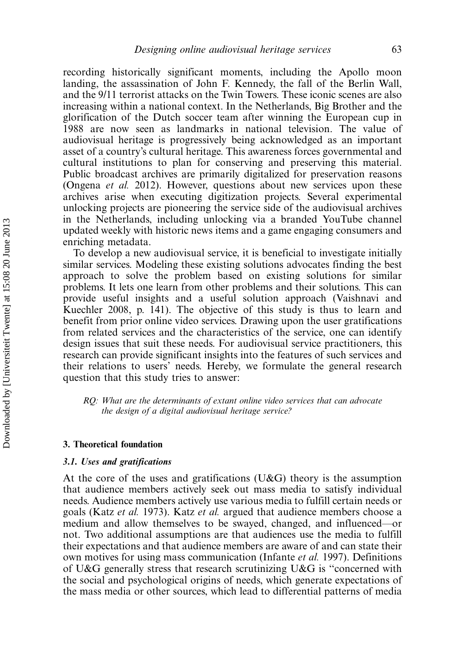recording historically significant moments, including the Apollo moon landing, the assassination of John F. Kennedy, the fall of the Berlin Wall, and the 9/11 terrorist attacks on the Twin Towers. These iconic scenes are also increasing within a national context. In the Netherlands, Big Brother and the glorification of the Dutch soccer team after winning the European cup in 1988 are now seen as landmarks in national television. The value of audiovisual heritage is progressively being acknowledged as an important asset of a country's cultural heritage. This awareness forces governmental and cultural institutions to plan for conserving and preserving this material. Public broadcast archives are primarily digitalized for preservation reasons (Ongena et al. 2012). However, questions about new services upon these archives arise when executing digitization projects. Several experimental unlocking projects are pioneering the service side of the audiovisual archives in the Netherlands, including unlocking via a branded YouTube channel updated weekly with historic news items and a game engaging consumers and enriching metadata.

To develop a new audiovisual service, it is beneficial to investigate initially similar services. Modeling these existing solutions advocates finding the best approach to solve the problem based on existing solutions for similar problems. It lets one learn from other problems and their solutions. This can provide useful insights and a useful solution approach (Vaishnavi and Kuechler 2008, p. 141). The objective of this study is thus to learn and benefit from prior online video services. Drawing upon the user gratifications from related services and the characteristics of the service, one can identify design issues that suit these needs. For audiovisual service practitioners, this research can provide significant insights into the features of such services and their relations to users' needs. Hereby, we formulate the general research question that this study tries to answer:

RQ: What are the determinants of extant online video services that can advocate the design of a digital audiovisual heritage service?

#### 3. Theoretical foundation

## 3.1. Uses and gratifications

At the core of the uses and gratifications  $(U&G)$  theory is the assumption that audience members actively seek out mass media to satisfy individual needs. Audience members actively use various media to fulfill certain needs or goals (Katz et al. 1973). Katz et al. argued that audience members choose a medium and allow themselves to be swayed, changed, and influenced—or not. Two additional assumptions are that audiences use the media to fulfill their expectations and that audience members are aware of and can state their own motives for using mass communication (Infante et al. 1997). Definitions of U&G generally stress that research scrutinizing U&G is ''concerned with the social and psychological origins of needs, which generate expectations of the mass media or other sources, which lead to differential patterns of media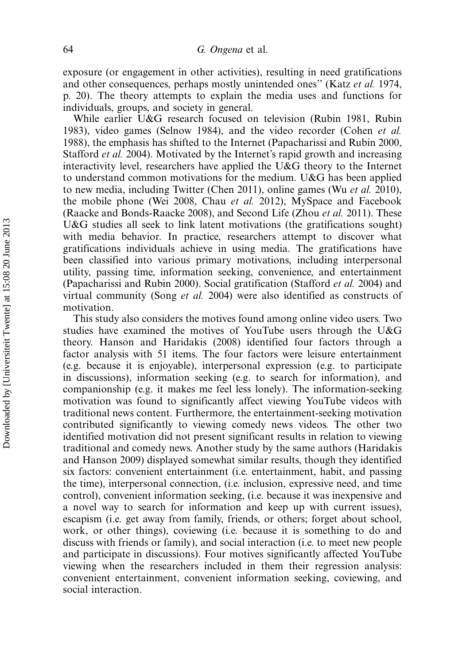exposure (or engagement in other activities), resulting in need gratifications and other consequences, perhaps mostly unintended ones'' (Katz et al. 1974, p. 20). The theory attempts to explain the media uses and functions for individuals, groups, and society in general.

While earlier U&G research focused on television (Rubin 1981, Rubin 1983), video games (Selnow 1984), and the video recorder (Cohen *et al.* 1988), the emphasis has shifted to the Internet (Papacharissi and Rubin 2000, Stafford et al. 2004). Motivated by the Internet's rapid growth and increasing interactivity level, researchers have applied the U&G theory to the Internet to understand common motivations for the medium. U&G has been applied to new media, including Twitter (Chen 2011), online games (Wu et al. 2010), the mobile phone (Wei 2008, Chau et al. 2012), MySpace and Facebook (Raacke and Bonds-Raacke 2008), and Second Life (Zhou et al. 2011). These U&G studies all seek to link latent motivations (the gratifications sought) with media behavior. In practice, researchers attempt to discover what gratifications individuals achieve in using media. The gratifications have been classified into various primary motivations, including interpersonal utility, passing time, information seeking, convenience, and entertainment (Papacharissi and Rubin 2000). Social gratification (Stafford et al. 2004) and virtual community (Song et al. 2004) were also identified as constructs of motivation.

This study also considers the motives found among online video users. Two studies have examined the motives of YouTube users through the U&G theory. Hanson and Haridakis (2008) identified four factors through a factor analysis with 51 items. The four factors were leisure entertainment (e.g. because it is enjoyable), interpersonal expression (e.g. to participate in discussions), information seeking (e.g. to search for information), and companionship (e.g. it makes me feel less lonely). The information-seeking motivation was found to significantly affect viewing YouTube videos with traditional news content. Furthermore, the entertainment-seeking motivation contributed significantly to viewing comedy news videos. The other two identified motivation did not present significant results in relation to viewing traditional and comedy news. Another study by the same authors (Haridakis and Hanson 2009) displayed somewhat similar results, though they identified six factors: convenient entertainment (i.e. entertainment, habit, and passing the time), interpersonal connection, (i.e. inclusion, expressive need, and time control), convenient information seeking, (i.e. because it was inexpensive and a novel way to search for information and keep up with current issues), escapism (i.e. get away from family, friends, or others; forget about school, work, or other things), coviewing (i.e. because it is something to do and discuss with friends or family), and social interaction (i.e. to meet new people and participate in discussions). Four motives significantly affected YouTube viewing when the researchers included in them their regression analysis: convenient entertainment, convenient information seeking, coviewing, and social interaction.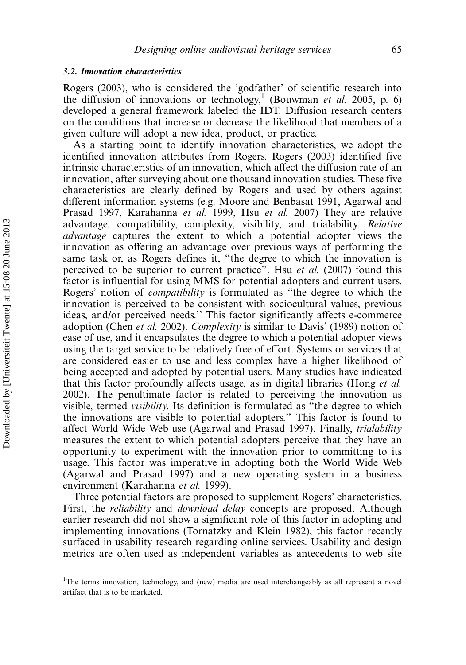#### 3.2. Innovation characteristics

Rogers (2003), who is considered the 'godfather' of scientific research into the diffusion of innovations or technology,<sup>1</sup> (Bouwman et al. 2005, p. 6) developed a general framework labeled the IDT. Diffusion research centers on the conditions that increase or decrease the likelihood that members of a given culture will adopt a new idea, product, or practice.

As a starting point to identify innovation characteristics, we adopt the identified innovation attributes from Rogers. Rogers (2003) identified five intrinsic characteristics of an innovation, which affect the diffusion rate of an innovation, after surveying about one thousand innovation studies. These five characteristics are clearly defined by Rogers and used by others against different information systems (e.g. Moore and Benbasat 1991, Agarwal and Prasad 1997, Karahanna et al. 1999, Hsu et al. 2007) They are relative advantage, compatibility, complexity, visibility, and trialability. Relative advantage captures the extent to which a potential adopter views the innovation as offering an advantage over previous ways of performing the same task or, as Rogers defines it, ''the degree to which the innovation is perceived to be superior to current practice". Hsu *et al.* (2007) found this factor is influential for using MMS for potential adopters and current users. Rogers' notion of compatibility is formulated as ''the degree to which the innovation is perceived to be consistent with sociocultural values, previous ideas, and/or perceived needs.'' This factor significantly affects e-commerce adoption (Chen et al. 2002). Complexity is similar to Davis' (1989) notion of ease of use, and it encapsulates the degree to which a potential adopter views using the target service to be relatively free of effort. Systems or services that are considered easier to use and less complex have a higher likelihood of being accepted and adopted by potential users. Many studies have indicated that this factor profoundly affects usage, as in digital libraries (Hong et al. 2002). The penultimate factor is related to perceiving the innovation as visible, termed visibility. Its definition is formulated as ''the degree to which the innovations are visible to potential adopters.'' This factor is found to affect World Wide Web use (Agarwal and Prasad 1997). Finally, trialability measures the extent to which potential adopters perceive that they have an opportunity to experiment with the innovation prior to committing to its usage. This factor was imperative in adopting both the World Wide Web (Agarwal and Prasad 1997) and a new operating system in a business environment (Karahanna et al. 1999).

Three potential factors are proposed to supplement Rogers' characteristics. First, the *reliability* and *download delay* concepts are proposed. Although earlier research did not show a significant role of this factor in adopting and implementing innovations (Tornatzky and Klein 1982), this factor recently surfaced in usability research regarding online services. Usability and design metrics are often used as independent variables as antecedents to web site

<sup>&</sup>lt;sup>1</sup>The terms innovation, technology, and (new) media are used interchangeably as all represent a novel artifact that is to be marketed.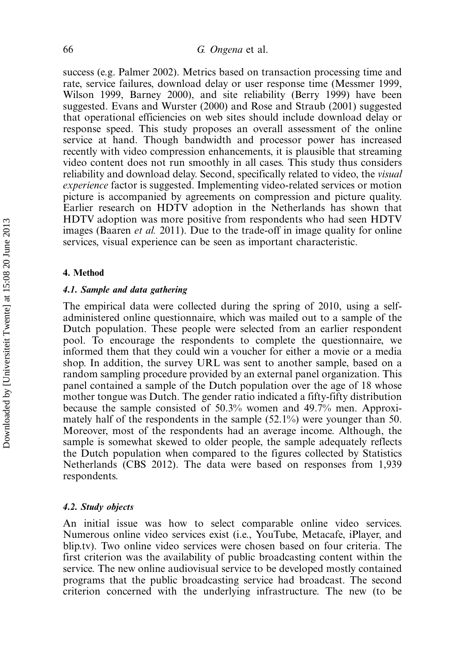success (e.g. Palmer 2002). Metrics based on transaction processing time and rate, service failures, download delay or user response time (Messmer 1999, Wilson 1999, Barney 2000), and site reliability (Berry 1999) have been suggested. Evans and Wurster (2000) and Rose and Straub (2001) suggested that operational efficiencies on web sites should include download delay or response speed. This study proposes an overall assessment of the online service at hand. Though bandwidth and processor power has increased recently with video compression enhancements, it is plausible that streaming video content does not run smoothly in all cases. This study thus considers reliability and download delay. Second, specifically related to video, the visual experience factor is suggested. Implementing video-related services or motion picture is accompanied by agreements on compression and picture quality. Earlier research on HDTV adoption in the Netherlands has shown that HDTV adoption was more positive from respondents who had seen HDTV images (Baaren *et al.* 2011). Due to the trade-off in image quality for online services, visual experience can be seen as important characteristic.

## 4. Method

#### 4.1. Sample and data gathering

The empirical data were collected during the spring of 2010, using a selfadministered online questionnaire, which was mailed out to a sample of the Dutch population. These people were selected from an earlier respondent pool. To encourage the respondents to complete the questionnaire, we informed them that they could win a voucher for either a movie or a media shop. In addition, the survey URL was sent to another sample, based on a random sampling procedure provided by an external panel organization. This panel contained a sample of the Dutch population over the age of 18 whose mother tongue was Dutch. The gender ratio indicated a fifty-fifty distribution because the sample consisted of 50.3% women and 49.7% men. Approximately half of the respondents in the sample (52.1%) were younger than 50. Moreover, most of the respondents had an average income. Although, the sample is somewhat skewed to older people, the sample adequately reflects the Dutch population when compared to the figures collected by Statistics Netherlands (CBS 2012). The data were based on responses from 1,939 respondents.

#### 4.2. Study objects

An initial issue was how to select comparable online video services. Numerous online video services exist (i.e., YouTube, Metacafe, iPlayer, and blip.tv). Two online video services were chosen based on four criteria. The first criterion was the availability of public broadcasting content within the service. The new online audiovisual service to be developed mostly contained programs that the public broadcasting service had broadcast. The second criterion concerned with the underlying infrastructure. The new (to be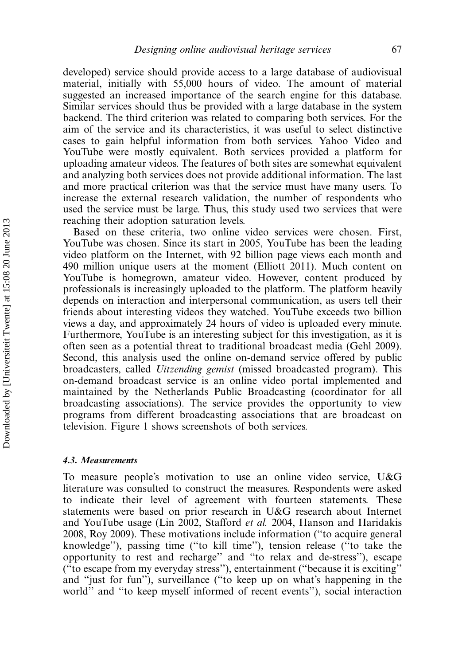developed) service should provide access to a large database of audiovisual material, initially with 55,000 hours of video. The amount of material suggested an increased importance of the search engine for this database. Similar services should thus be provided with a large database in the system backend. The third criterion was related to comparing both services. For the aim of the service and its characteristics, it was useful to select distinctive cases to gain helpful information from both services. Yahoo Video and YouTube were mostly equivalent. Both services provided a platform for uploading amateur videos. The features of both sites are somewhat equivalent and analyzing both services does not provide additional information. The last and more practical criterion was that the service must have many users. To increase the external research validation, the number of respondents who used the service must be large. Thus, this study used two services that were reaching their adoption saturation levels.

Based on these criteria, two online video services were chosen. First, YouTube was chosen. Since its start in 2005, YouTube has been the leading video platform on the Internet, with 92 billion page views each month and 490 million unique users at the moment (Elliott 2011). Much content on YouTube is homegrown, amateur video. However, content produced by professionals is increasingly uploaded to the platform. The platform heavily depends on interaction and interpersonal communication, as users tell their friends about interesting videos they watched. YouTube exceeds two billion views a day, and approximately 24 hours of video is uploaded every minute. Furthermore, YouTube is an interesting subject for this investigation, as it is often seen as a potential threat to traditional broadcast media (Gehl 2009). Second, this analysis used the online on-demand service offered by public broadcasters, called Uitzending gemist (missed broadcasted program). This on-demand broadcast service is an online video portal implemented and maintained by the Netherlands Public Broadcasting (coordinator for all broadcasting associations). The service provides the opportunity to view programs from different broadcasting associations that are broadcast on television. Figure 1 shows screenshots of both services.

## 4.3. Measurements

To measure people's motivation to use an online video service, U&G literature was consulted to construct the measures. Respondents were asked to indicate their level of agreement with fourteen statements. These statements were based on prior research in U&G research about Internet and YouTube usage (Lin 2002, Stafford et al. 2004, Hanson and Haridakis 2008, Roy 2009). These motivations include information (''to acquire general knowledge''), passing time (''to kill time''), tension release (''to take the opportunity to rest and recharge'' and ''to relax and de-stress''), escape (''to escape from my everyday stress''), entertainment (''because it is exciting'' and ''just for fun''), surveillance (''to keep up on what's happening in the world'' and ''to keep myself informed of recent events''), social interaction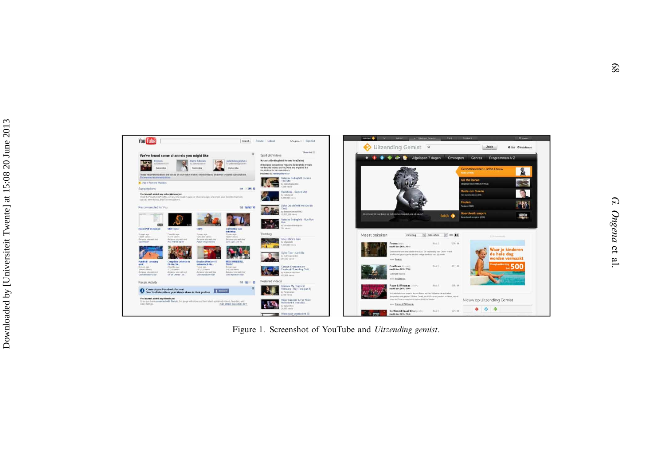



Figure 1. Screenshot of YouTube and Uitzending gemist.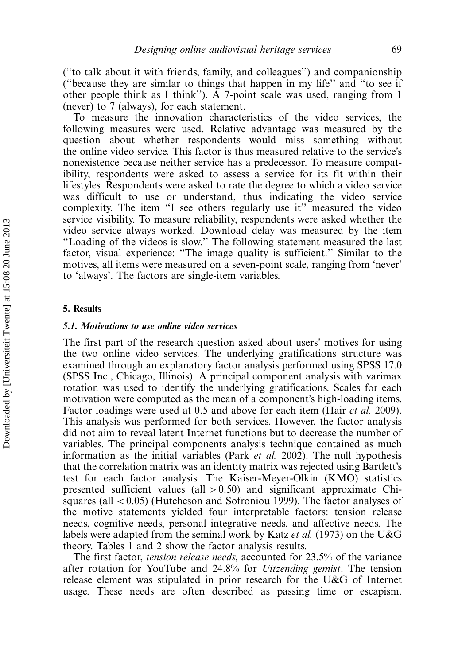(''to talk about it with friends, family, and colleagues'') and companionship (''because they are similar to things that happen in my life'' and ''to see if other people think as I think''). A 7-point scale was used, ranging from 1 (never) to 7 (always), for each statement.

To measure the innovation characteristics of the video services, the following measures were used. Relative advantage was measured by the question about whether respondents would miss something without the online video service. This factor is thus measured relative to the service's nonexistence because neither service has a predecessor. To measure compatibility, respondents were asked to assess a service for its fit within their lifestyles. Respondents were asked to rate the degree to which a video service was difficult to use or understand, thus indicating the video service complexity. The item "I see others regularly use it" measured the video service visibility. To measure reliability, respondents were asked whether the video service always worked. Download delay was measured by the item ''Loading of the videos is slow.'' The following statement measured the last factor, visual experience: "The image quality is sufficient." Similar to the motives, all items were measured on a seven-point scale, ranging from 'never' to 'always'. The factors are single-item variables.

#### 5. Results

#### 5.1. Motivations to use online video services

The first part of the research question asked about users' motives for using the two online video services. The underlying gratifications structure was examined through an explanatory factor analysis performed using SPSS 17.0 (SPSS Inc., Chicago, Illinois). A principal component analysis with varimax rotation was used to identify the underlying gratifications. Scales for each motivation were computed as the mean of a component's high-loading items. Factor loadings were used at 0.5 and above for each item (Hair *et al.* 2009). This analysis was performed for both services. However, the factor analysis did not aim to reveal latent Internet functions but to decrease the number of variables. The principal components analysis technique contained as much information as the initial variables (Park *et al.* 2002). The null hypothesis that the correlation matrix was an identity matrix was rejected using Bartlett's test for each factor analysis. The Kaiser-Meyer-Olkin (KMO) statistics presented sufficient values (all  $> 0.50$ ) and significant approximate Chisquares (all  $< 0.05$ ) (Hutcheson and Sofroniou 1999). The factor analyses of the motive statements yielded four interpretable factors: tension release needs, cognitive needs, personal integrative needs, and affective needs. The labels were adapted from the seminal work by Katz et al. (1973) on the U&G theory. Tables 1 and 2 show the factor analysis results.

The first factor, tension release needs, accounted for 23.5% of the variance after rotation for YouTube and 24.8% for Uitzending gemist. The tension release element was stipulated in prior research for the U&G of Internet usage. These needs are often described as passing time or escapism.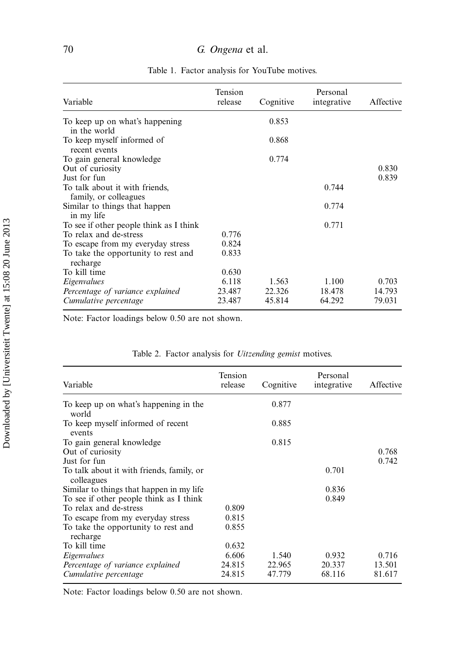| Variable                                                | Tension<br>release | Cognitive | Personal<br>integrative | Affective |
|---------------------------------------------------------|--------------------|-----------|-------------------------|-----------|
| To keep up on what's happening<br>in the world          |                    | 0.853     |                         |           |
| To keep myself informed of<br>recent events             |                    | 0.868     |                         |           |
| To gain general knowledge                               |                    | 0.774     |                         |           |
| Out of curiosity                                        |                    |           |                         | 0.830     |
| Just for fun                                            |                    |           |                         | 0.839     |
| To talk about it with friends,<br>family, or colleagues |                    |           | 0.744                   |           |
| Similar to things that happen<br>in my life             |                    |           | 0.774                   |           |
| To see if other people think as I think                 |                    |           | 0.771                   |           |
| To relax and de-stress                                  | 0.776              |           |                         |           |
| To escape from my everyday stress                       | 0.824              |           |                         |           |
| To take the opportunity to rest and<br>recharge         | 0.833              |           |                         |           |
| To kill time                                            | 0.630              |           |                         |           |
| Eigenvalues                                             | 6.118              | 1.563     | 1.100                   | 0.703     |
| Percentage of variance explained                        | 23.487             | 22.326    | 18.478                  | 14.793    |
| Cumulative percentage                                   | 23.487             | 45.814    | 64.292                  | 79.031    |

Table 1. Factor analysis for YouTube motives.

Note: Factor loadings below 0.50 are not shown.

| Variable                                                | Tension<br>release | Cognitive | Personal<br>integrative | Affective |
|---------------------------------------------------------|--------------------|-----------|-------------------------|-----------|
| To keep up on what's happening in the<br>world          |                    | 0.877     |                         |           |
| To keep myself informed of recent<br>events             |                    | 0.885     |                         |           |
| To gain general knowledge                               |                    | 0.815     |                         |           |
| Out of curiosity                                        |                    |           |                         | 0.768     |
| Just for fun                                            |                    |           |                         | 0.742     |
| To talk about it with friends, family, or<br>colleagues |                    |           | 0.701                   |           |
| Similar to things that happen in my life.               |                    |           | 0.836                   |           |
| To see if other people think as I think                 |                    |           | 0.849                   |           |
| To relax and de-stress                                  | 0.809              |           |                         |           |
| To escape from my everyday stress                       | 0.815              |           |                         |           |
| To take the opportunity to rest and<br>recharge         | 0.855              |           |                         |           |
| To kill time                                            | 0.632              |           |                         |           |
| Eigenvalues                                             | 6.606              | 1.540     | 0.932                   | 0.716     |
| Percentage of variance explained                        | 24.815             | 22.965    | 20.337                  | 13.501    |
| Cumulative percentage                                   | 24.815             | 47.779    | 68.116                  | 81.617    |

Table 2. Factor analysis for Uitzending gemist motives.

Note: Factor loadings below 0.50 are not shown.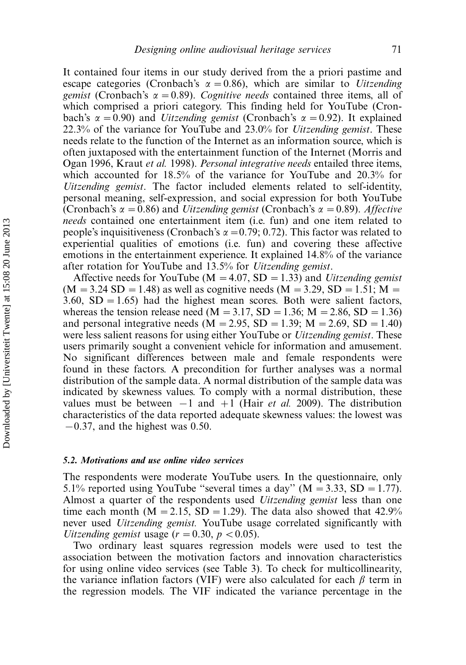It contained four items in our study derived from the a priori pastime and escape categories (Cronbach's  $\alpha = 0.86$ ), which are similar to Uitzending gemist (Cronbach's  $\alpha = 0.89$ ). Cognitive needs contained three items, all of which comprised a priori category. This finding held for YouTube (Cronbach's  $\alpha = 0.90$ ) and *Uitzending gemist* (Cronbach's  $\alpha = 0.92$ ). It explained 22.3% of the variance for YouTube and  $23.0\%$  for *Uitzending gemist*. These needs relate to the function of the Internet as an information source, which is often juxtaposed with the entertainment function of the Internet (Morris and Ogan 1996, Kraut et al. 1998). Personal integrative needs entailed three items, which accounted for 18.5% of the variance for YouTube and 20.3% for Uitzending gemist. The factor included elements related to self-identity, personal meaning, self-expression, and social expression for both YouTube (Cronbach's  $\alpha = 0.86$ ) and *Uitzending gemist* (Cronbach's  $\alpha = 0.89$ ). Affective needs contained one entertainment item (i.e. fun) and one item related to people's inquisitiveness (Cronbach's  $\alpha = 0.79$ ; 0.72). This factor was related to experiential qualities of emotions (i.e. fun) and covering these affective emotions in the entertainment experience. It explained 14.8% of the variance after rotation for YouTube and 13.5% for Uitzending gemist.

Affective needs for YouTube ( $M = 4.07$ , SD = 1.33) and *Uitzending gemist*  $(M = 3.24$  SD = 1.48) as well as cognitive needs  $(M = 3.29, SD = 1.51; M =$ 3.60,  $SD = 1.65$ ) had the highest mean scores. Both were salient factors, whereas the tension release need ( $M = 3.17$ , SD = 1.36; M = 2.86, SD = 1.36) and personal integrative needs ( $M = 2.95$ ,  $SD = 1.39$ ;  $M = 2.69$ ,  $SD = 1.40$ ) were less salient reasons for using either YouTube or *Uitzending gemist*. These users primarily sought a convenient vehicle for information and amusement. No significant differences between male and female respondents were found in these factors. A precondition for further analyses was a normal distribution of the sample data. A normal distribution of the sample data was indicated by skewness values. To comply with a normal distribution, these values must be between  $-1$  and  $+1$  (Hair *et al.* 2009). The distribution characteristics of the data reported adequate skewness values: the lowest was  $-0.37$ , and the highest was 0.50.

## 5.2. Motivations and use online video services

The respondents were moderate YouTube users. In the questionnaire, only 5.1% reported using YouTube "several times a day" ( $M = 3.33$ , SD = 1.77). Almost a quarter of the respondents used Uitzending gemist less than one time each month ( $M = 2.15$ ,  $SD = 1.29$ ). The data also showed that 42.9% never used *Uitzending gemist*. YouTube usage correlated significantly with Uitzending gemist usage ( $r = 0.30$ ,  $p < 0.05$ ).

Two ordinary least squares regression models were used to test the association between the motivation factors and innovation characteristics for using online video services (see Table 3). To check for multicollinearity, the variance inflation factors (VIF) were also calculated for each  $\beta$  term in the regression models. The VIF indicated the variance percentage in the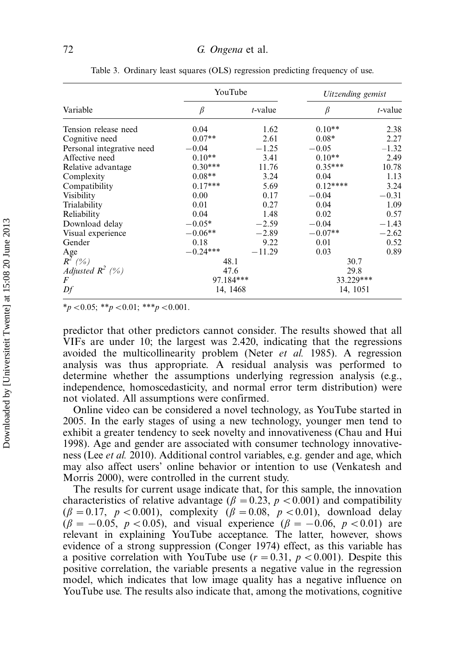|                           | YouTube    |            | Uitzending gemist |            |  |
|---------------------------|------------|------------|-------------------|------------|--|
| Variable                  | $\beta$    | $t$ -value | $\beta$           | $t$ -value |  |
| Tension release need      | 0.04       | 1.62       | $0.10**$<br>2.38  |            |  |
| Cognitive need            | $0.07**$   | 2.61       | $0.08*$           | 2.27       |  |
| Personal integrative need | $-0.04$    | $-1.25$    | $-0.05$           | $-1.32$    |  |
| Affective need            | $0.10**$   | 3.41       | $0.10**$          | 2.49       |  |
| Relative advantage        | $0.30***$  | 11.76      | $0.35***$         | 10.78      |  |
| Complexity                | $0.08**$   | 3.24       | 0.04              | 1.13       |  |
| Compatibility             | $0.17***$  | 5.69       | $0.12***$         | 3.24       |  |
| Visibility                | 0.00       | 0.17       | $-0.04$           | $-0.31$    |  |
| Trialability              | 0.01       | 0.27       | 0.04              | 1.09       |  |
| Reliability               | 0.04       | 1.48       | 0.02              | 0.57       |  |
| Download delay            | $-0.05*$   | $-2.59$    | $-0.04$           | $-1.43$    |  |
| Visual experience         | $-0.06**$  | $-2.89$    | $-0.07**$         | $-2.62$    |  |
| Gender                    | 0.18       | 9.22       | 0.01              | 0.52       |  |
| Age                       | $-0.24***$ | $-11.29$   | 0.03              | 0.89       |  |
| $R^2(\%)$                 | 48.1       |            | 30.7              |            |  |
| Adjusted $R^2$ (%)        | 47.6       |            | 29.8              |            |  |
| $\boldsymbol{F}$          | 97.184***  |            | 33.229***         |            |  |
| Df                        | 14, 1468   |            | 14, 1051          |            |  |

Table 3. Ordinary least squares (OLS) regression predicting frequency of use.

 $*_{p}$  < 0.05;  $*_{p}$  < 0.01;  $*_{p}$  < 0.001.

predictor that other predictors cannot consider. The results showed that all VIFs are under 10; the largest was 2.420, indicating that the regressions avoided the multicollinearity problem (Neter et al. 1985). A regression analysis was thus appropriate. A residual analysis was performed to determine whether the assumptions underlying regression analysis (e.g., independence, homoscedasticity, and normal error term distribution) were not violated. All assumptions were confirmed.

Online video can be considered a novel technology, as YouTube started in 2005. In the early stages of using a new technology, younger men tend to exhibit a greater tendency to seek novelty and innovativeness (Chau and Hui 1998). Age and gender are associated with consumer technology innovativeness (Lee et al. 2010). Additional control variables, e.g. gender and age, which may also affect users' online behavior or intention to use (Venkatesh and Morris 2000), were controlled in the current study.

The results for current usage indicate that, for this sample, the innovation characteristics of relative advantage ( $\beta = 0.23$ ,  $p < 0.001$ ) and compatibility  $(\beta = 0.17, p < 0.001)$ , complexity  $(\beta = 0.08, p < 0.01)$ , download delay  $(\beta = -0.05, p < 0.05)$ , and visual experience  $(\beta = -0.06, p < 0.01)$  are relevant in explaining YouTube acceptance. The latter, however, shows evidence of a strong suppression (Conger 1974) effect, as this variable has a positive correlation with YouTube use  $(r = 0.31, p < 0.001)$ . Despite this positive correlation, the variable presents a negative value in the regression model, which indicates that low image quality has a negative influence on YouTube use. The results also indicate that, among the motivations, cognitive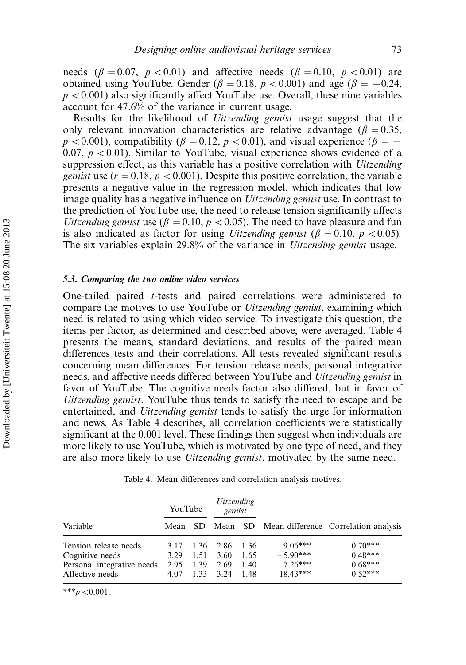needs ( $\beta = 0.07$ ,  $p < 0.01$ ) and affective needs ( $\beta = 0.10$ ,  $p < 0.01$ ) are obtained using YouTube. Gender ( $\beta = 0.18$ ,  $p < 0.001$ ) and age ( $\beta = -0.24$ ,  $p < 0.001$ ) also significantly affect YouTube use. Overall, these nine variables account for 47.6% of the variance in current usage.

Results for the likelihood of Uitzending gemist usage suggest that the only relevant innovation characteristics are relative advantage ( $\beta = 0.35$ ,  $p < 0.001$ ), compatibility ( $\beta = 0.12$ ,  $p < 0.01$ ), and visual experience ( $\beta = -$ 0.07,  $p < 0.01$ ). Similar to YouTube, visual experience shows evidence of a suppression effect, as this variable has a positive correlation with *Uitzending gemist* use  $(r = 0.18, p < 0.001)$ . Despite this positive correlation, the variable presents a negative value in the regression model, which indicates that low image quality has a negative influence on *Uitzending gemist* use. In contrast to the prediction of YouTube use, the need to release tension significantly affects Uitzending gemist use ( $\beta = 0.10$ ,  $p < 0.05$ ). The need to have pleasure and fun is also indicated as factor for using *Uitzending gemist* ( $\beta = 0.10$ ,  $p < 0.05$ ). The six variables explain 29.8% of the variance in Uitzending gemist usage.

#### 5.3. Comparing the two online video services

One-tailed paired t-tests and paired correlations were administered to compare the motives to use YouTube or Uitzending gemist, examining which need is related to using which video service. To investigate this question, the items per factor, as determined and described above, were averaged. Table 4 presents the means, standard deviations, and results of the paired mean differences tests and their correlations. All tests revealed significant results concerning mean differences. For tension release needs, personal integrative needs, and affective needs differed between YouTube and Uitzending gemist in favor of YouTube. The cognitive needs factor also differed, but in favor of Uitzending gemist. YouTube thus tends to satisfy the need to escape and be entertained, and *Uitzending gemist* tends to satisfy the urge for information and news. As Table 4 describes, all correlation coefficients were statistically significant at the 0.001 level. These findings then suggest when individuals are more likely to use YouTube, which is motivated by one type of need, and they are also more likely to use Uitzending gemist, motivated by the same need.

| Table 4. Mean differences and correlation analysis motives. |  |
|-------------------------------------------------------------|--|
|-------------------------------------------------------------|--|

|                            | YouTube |      | <i>Uitzending</i><br>gemist |      |            |                                                      |
|----------------------------|---------|------|-----------------------------|------|------------|------------------------------------------------------|
| Variable                   |         |      |                             |      |            | Mean SD Mean SD Mean difference Correlation analysis |
| Tension release needs      | 3.17    |      | 1.36 2.86                   | 1.36 | $9.06***$  | $0.70***$                                            |
| Cognitive needs            | 3.29    | 1.51 | 3.60                        | 1.65 | $-5.90***$ | $0.48***$                                            |
| Personal integrative needs | 2.95    | 1.39 | 2.69                        | 1.40 | $7.26***$  | $0.68***$                                            |
| Affective needs            | 4.07    | 1.33 | 3.24                        | 1.48 | $18.43***$ | $0.52***$                                            |

\*\*\* $p < 0.001$ .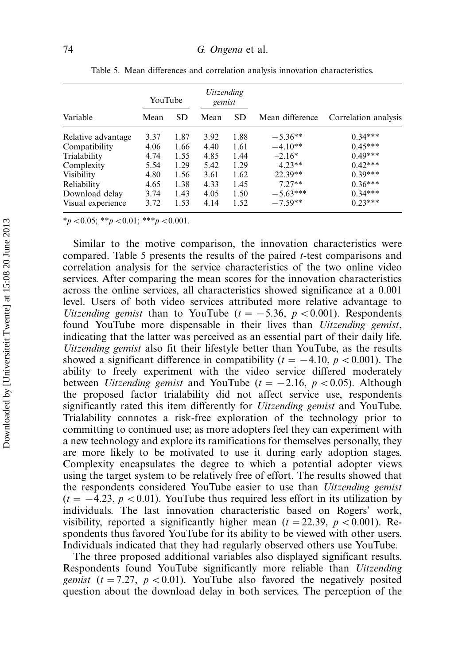|                    | YouTube |           | <i>Uitzending</i><br>gemist |           |                 |                      |
|--------------------|---------|-----------|-----------------------------|-----------|-----------------|----------------------|
| Variable           | Mean    | <b>SD</b> | Mean                        | <b>SD</b> | Mean difference | Correlation analysis |
| Relative advantage | 3.37    | 1.87      | 3.92                        | 1.88      | $-5.36**$       | $0.34***$            |
| Compatibility      | 4.06    | 1.66      | 4.40                        | 1.61      | $-4.10**$       | $0.45***$            |
| Trialability       | 4.74    | 1.55      | 4.85                        | 1.44      | $-2.16*$        | $0.49***$            |
| Complexity         | 5.54    | 1.29      | 5.42                        | 1.29      | $4.23**$        | $0.42***$            |
| Visibility         | 4.80    | 1.56      | 3.61                        | 1.62      | 22.39**         | $0.39***$            |
| Reliability        | 4.65    | 1.38      | 4.33                        | 1.45      | $7.27**$        | $0.36***$            |
| Download delay     | 3.74    | 1.43      | 4.05                        | 1.50      | $-5.63***$      | $0.34***$            |
| Visual experience  | 3.72    | 1.53      | 4.14                        | 1.52      | $-7.59**$       | $0.23***$            |

Table 5. Mean differences and correlation analysis innovation characteristics.

 $*_{p}$  < 0.05; \*\*p < 0.01; \*\*\*p < 0.001.

Similar to the motive comparison, the innovation characteristics were compared. Table 5 presents the results of the paired t-test comparisons and correlation analysis for the service characteristics of the two online video services. After comparing the mean scores for the innovation characteristics across the online services, all characteristics showed significance at a 0.001 level. Users of both video services attributed more relative advantage to Uitzending gemist than to YouTube ( $t = -5.36$ ,  $p < 0.001$ ). Respondents found YouTube more dispensable in their lives than *Uitzending gemist*, indicating that the latter was perceived as an essential part of their daily life. Uitzending gemist also fit their lifestyle better than YouTube, as the results showed a significant difference in compatibility ( $t = -4.10, p < 0.001$ ). The ability to freely experiment with the video service differed moderately between *Uitzending gemist* and YouTube ( $t = -2.16$ ,  $p < 0.05$ ). Although the proposed factor trialability did not affect service use, respondents significantly rated this item differently for *Uitzending gemist* and YouTube. Trialability connotes a risk-free exploration of the technology prior to committing to continued use; as more adopters feel they can experiment with a new technology and explore its ramifications for themselves personally, they are more likely to be motivated to use it during early adoption stages. Complexity encapsulates the degree to which a potential adopter views using the target system to be relatively free of effort. The results showed that the respondents considered YouTube easier to use than Uitzending gemist  $(t = -4.23, p < 0.01)$ . YouTube thus required less effort in its utilization by individuals. The last innovation characteristic based on Rogers' work, visibility, reported a significantly higher mean  $(t = 22.39, p < 0.001)$ . Respondents thus favored YouTube for its ability to be viewed with other users. Individuals indicated that they had regularly observed others use YouTube.

The three proposed additional variables also displayed significant results. Respondents found YouTube significantly more reliable than Uitzending *gemist* ( $t = 7.27$ ,  $p < 0.01$ ). YouTube also favored the negatively posited question about the download delay in both services. The perception of the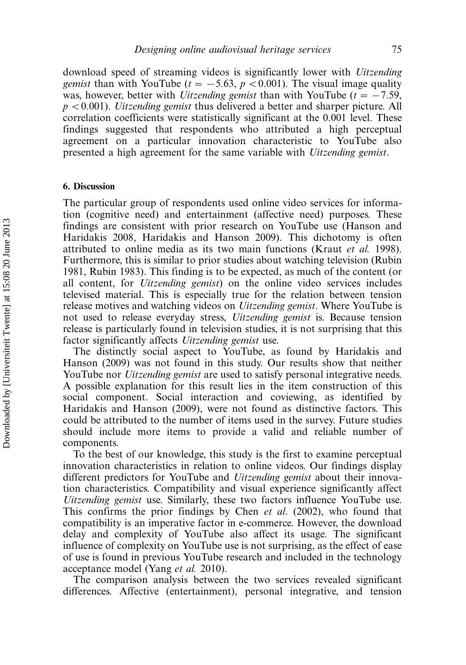download speed of streaming videos is significantly lower with Uitzending *gemist* than with YouTube ( $t = -5.63$ ,  $p < 0.001$ ). The visual image quality was, however, better with *Uitzending gemist* than with YouTube ( $t = -7.59$ ,  $p < 0.001$ ). *Uitzending gemist* thus delivered a better and sharper picture. All correlation coefficients were statistically significant at the 0.001 level. These findings suggested that respondents who attributed a high perceptual agreement on a particular innovation characteristic to YouTube also presented a high agreement for the same variable with Uitzending gemist.

### 6. Discussion

The particular group of respondents used online video services for information (cognitive need) and entertainment (affective need) purposes. These findings are consistent with prior research on YouTube use (Hanson and Haridakis 2008, Haridakis and Hanson 2009). This dichotomy is often attributed to online media as its two main functions (Kraut et al. 1998). Furthermore, this is similar to prior studies about watching television (Rubin 1981, Rubin 1983). This finding is to be expected, as much of the content (or all content, for Uitzending gemist) on the online video services includes televised material. This is especially true for the relation between tension release motives and watching videos on *Uitzending gemist*. Where YouTube is not used to release everyday stress, *Uitzending gemist* is. Because tension release is particularly found in television studies, it is not surprising that this factor significantly affects *Uitzending gemist* use.

The distinctly social aspect to YouTube, as found by Haridakis and Hanson (2009) was not found in this study. Our results show that neither YouTube nor *Uitzending gemist* are used to satisfy personal integrative needs. A possible explanation for this result lies in the item construction of this social component. Social interaction and coviewing, as identified by Haridakis and Hanson (2009), were not found as distinctive factors. This could be attributed to the number of items used in the survey. Future studies should include more items to provide a valid and reliable number of components.

To the best of our knowledge, this study is the first to examine perceptual innovation characteristics in relation to online videos. Our findings display different predictors for YouTube and Uitzending gemist about their innovation characteristics. Compatibility and visual experience significantly affect Uitzending gemist use. Similarly, these two factors influence YouTube use. This confirms the prior findings by Chen et al. (2002), who found that compatibility is an imperative factor in e-commerce. However, the download delay and complexity of YouTube also affect its usage. The significant influence of complexity on YouTube use is not surprising, as the effect of ease of use is found in previous YouTube research and included in the technology acceptance model (Yang et al. 2010).

The comparison analysis between the two services revealed significant differences. Affective (entertainment), personal integrative, and tension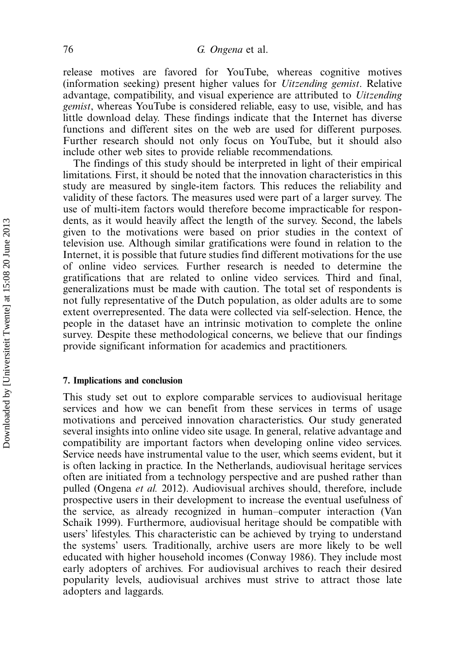release motives are favored for YouTube, whereas cognitive motives (information seeking) present higher values for Uitzending gemist. Relative advantage, compatibility, and visual experience are attributed to Uitzending gemist, whereas YouTube is considered reliable, easy to use, visible, and has little download delay. These findings indicate that the Internet has diverse functions and different sites on the web are used for different purposes. Further research should not only focus on YouTube, but it should also include other web sites to provide reliable recommendations.

The findings of this study should be interpreted in light of their empirical limitations. First, it should be noted that the innovation characteristics in this study are measured by single-item factors. This reduces the reliability and validity of these factors. The measures used were part of a larger survey. The use of multi-item factors would therefore become impracticable for respondents, as it would heavily affect the length of the survey. Second, the labels given to the motivations were based on prior studies in the context of television use. Although similar gratifications were found in relation to the Internet, it is possible that future studies find different motivations for the use of online video services. Further research is needed to determine the gratifications that are related to online video services. Third and final, generalizations must be made with caution. The total set of respondents is not fully representative of the Dutch population, as older adults are to some extent overrepresented. The data were collected via self-selection. Hence, the people in the dataset have an intrinsic motivation to complete the online survey. Despite these methodological concerns, we believe that our findings provide significant information for academics and practitioners.

## 7. Implications and conclusion

This study set out to explore comparable services to audiovisual heritage services and how we can benefit from these services in terms of usage motivations and perceived innovation characteristics. Our study generated several insights into online video site usage. In general, relative advantage and compatibility are important factors when developing online video services. Service needs have instrumental value to the user, which seems evident, but it is often lacking in practice. In the Netherlands, audiovisual heritage services often are initiated from a technology perspective and are pushed rather than pulled (Ongena et al. 2012). Audiovisual archives should, therefore, include prospective users in their development to increase the eventual usefulness of the service, as already recognized in human-computer interaction (Van Schaik 1999). Furthermore, audiovisual heritage should be compatible with users' lifestyles. This characteristic can be achieved by trying to understand the systems' users. Traditionally, archive users are more likely to be well educated with higher household incomes (Conway 1986). They include most early adopters of archives. For audiovisual archives to reach their desired popularity levels, audiovisual archives must strive to attract those late adopters and laggards.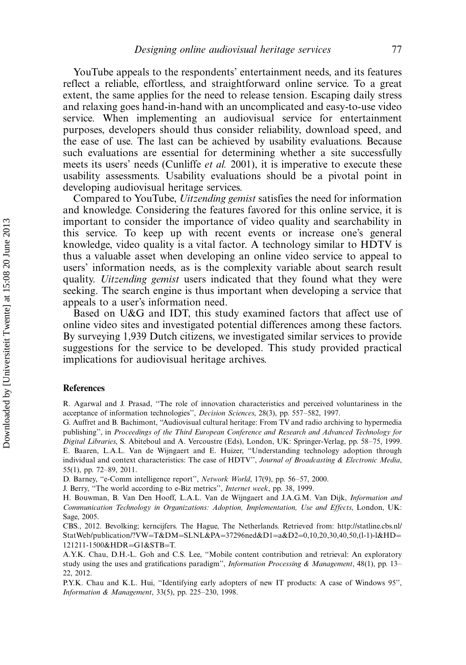YouTube appeals to the respondents' entertainment needs, and its features reflect a reliable, effortless, and straightforward online service. To a great extent, the same applies for the need to release tension. Escaping daily stress and relaxing goes hand-in-hand with an uncomplicated and easy-to-use video service. When implementing an audiovisual service for entertainment purposes, developers should thus consider reliability, download speed, and the ease of use. The last can be achieved by usability evaluations. Because such evaluations are essential for determining whether a site successfully meets its users' needs (Cunliffe *et al.* 2001), it is imperative to execute these usability assessments. Usability evaluations should be a pivotal point in developing audiovisual heritage services.

Compared to YouTube, Uitzending gemist satisfies the need for information and knowledge. Considering the features favored for this online service, it is important to consider the importance of video quality and searchability in this service. To keep up with recent events or increase one's general knowledge, video quality is a vital factor. A technology similar to HDTV is thus a valuable asset when developing an online video service to appeal to users' information needs, as is the complexity variable about search result quality. *Uitzending gemist* users indicated that they found what they were seeking. The search engine is thus important when developing a service that appeals to a user's information need.

Based on U&G and IDT, this study examined factors that affect use of online video sites and investigated potential differences among these factors. By surveying 1,939 Dutch citizens, we investigated similar services to provide suggestions for the service to be developed. This study provided practical implications for audiovisual heritage archives.

#### **References**

R. Agarwal and J. Prasad, ''The role of innovation characteristics and perceived voluntariness in the acceptance of information technologies", Decision Sciences, 28(3), pp. 557-582, 1997.

G. Auffret and B. Bachimont, ''Audiovisual cultural heritage: From TV and radio archiving to hypermedia publishing'', in Proceedings of the Third European Conference and Research and Advanced Technology for Digital Libraries, S. Abiteboul and A. Vercoustre (Eds), London, UK: Springer-Verlag, pp. 58-75, 1999. E. Baaren, L.A.L. Van de Wijngaert and E. Huizer, ''Understanding technology adoption through individual and context characteristics: The case of HDTV", Journal of Broadcasting & Electronic Media, 55(1), pp. 72-89, 2011.

D. Barney, "e-Comm intelligence report", Network World, 17(9), pp. 56-57, 2000.

J. Berry, ''The world according to e-Biz metrics'', Internet week, pp. 38, 1999.

H. Bouwman, B. Van Den Hooff, L.A.L. Van de Wijngaert and J.A.G.M. Van Dijk, Information and Communication Technology in Organizations: Adoption, Implementation, Use and Effects, London, UK: Sage, 2005.

CBS., 2012. Bevolking; kerncijfers. The Hague, The Netherlands. Retrieved from: [http://statline.cbs.nl/](http://statline.cbs.nl/StatWeb/publication/?VW=T&DM=SLNL&PA=37296ned&D1=a&D2=0,10,20,30,40,50,(l-1)-l&HD=121211-1500&HDR=G1&STB=T)  $StatWeb/publication$ ?VW=[T&DM](http://statline.cbs.nl/StatWeb/publication/?VW=T&DM=SLNL&PA=37296ned&D1=a&D2=0,10,20,30,40,50,(l-1)-l&HD=121211-1500&HDR=G1&STB=T)=[SLNL&PA](http://statline.cbs.nl/StatWeb/publication/?VW=T&DM=SLNL&PA=37296ned&D1=a&D2=0,10,20,30,40,50,(l-1)-l&HD=121211-1500&HDR=G1&STB=T)=[37296ned&D1](http://statline.cbs.nl/StatWeb/publication/?VW=T&DM=SLNL&PA=37296ned&D1=a&D2=0,10,20,30,40,50,(l-1)-l&HD=121211-1500&HDR=G1&STB=T)=[a&D2](http://statline.cbs.nl/StatWeb/publication/?VW=T&DM=SLNL&PA=37296ned&D1=a&D2=0,10,20,30,40,50,(l-1)-l&HD=121211-1500&HDR=G1&STB=T)=[0,10,20,30,40,50,\(l-1\)-l&HD](http://statline.cbs.nl/StatWeb/publication/?VW=T&DM=SLNL&PA=37296ned&D1=a&D2=0,10,20,30,40,50,(l-1)-l&HD=121211-1500&HDR=G1&STB=T)= [121211-1500&HDR](http://statline.cbs.nl/StatWeb/publication/?VW=T&DM=SLNL&PA=37296ned&D1=a&D2=0,10,20,30,40,50,(l-1)-l&HD=121211-1500&HDR=G1&STB=T)=[G1&STB](http://statline.cbs.nl/StatWeb/publication/?VW=T&DM=SLNL&PA=37296ned&D1=a&D2=0,10,20,30,40,50,(l-1)-l&HD=121211-1500&HDR=G1&STB=T)=[T.](http://statline.cbs.nl/StatWeb/publication/?VW=T&DM=SLNL&PA=37296ned&D1=a&D2=0,10,20,30,40,50,(l-1)-l&HD=121211-1500&HDR=G1&STB=T)

A.Y.K. Chau, D.H.-L. Goh and C.S. Lee, ''Mobile content contribution and retrieval: An exploratory study using the uses and gratifications paradigm'', Information Processing & Management, 48(1), pp. 13– 22, 2012.

P.Y.K. Chau and K.L. Hui, ''Identifying early adopters of new IT products: A case of Windows 95'', Information & Management, 33(5), pp. 225-230, 1998.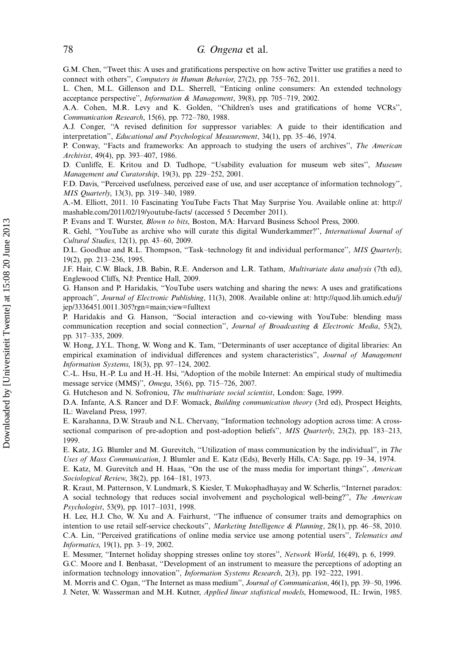G.M. Chen, ''Tweet this: A uses and gratifications perspective on how active Twitter use gratifies a need to connect with others", Computers in Human Behavior, 27(2), pp. 755-762, 2011.

L. Chen, M.L. Gillenson and D.L. Sherrell, ''Enticing online consumers: An extended technology acceptance perspective", Information & Management, 39(8), pp. 705-719, 2002.

A.A. Cohen, M.R. Levy and K. Golden, ''Children's uses and gratifications of home VCRs'', Communication Research,  $15(6)$ , pp.  $772-780$ , 1988.

A.J. Conger, ''A revised definition for suppressor variables: A guide to their identification and interpretation", Educational and Psychological Measurement, 34(1), pp. 35-46, 1974.

P. Conway, "Facts and frameworks: An approach to studying the users of archives", The American Archivist, 49(4), pp. 393-407, 1986.

D. Cunliffe, E. Kritou and D. Tudhope, "Usability evaluation for museum web sites", Museum Management and Curatorship, 19(3), pp. 229-252, 2001.

F.D. Davis, ''Perceived usefulness, perceived ease of use, and user acceptance of information technology'', MIS Quarterly, 13(3), pp. 319-340, 1989.

A.-M. Elliott, 2011. 10 Fascinating YouTube Facts That May Surprise You. Available online at: [http://](http://mashable.com/2011/02/19/youtube-facts/) [mashable.com/2011/02/19/youtube-facts/](http://mashable.com/2011/02/19/youtube-facts/) (accessed 5 December 2011).

P. Evans and T. Wurster, Blown to bits, Boston, MA: Harvard Business School Press, 2000.

R. Gehl, "YouTube as archive who will curate this digital Wunderkammer?", International Journal of Cultural Studies, 12(1), pp. 43-60, 2009.

D.L. Goodhue and R.L. Thompson, "Task-technology fit and individual performance", MIS Quarterly, 19(2), pp. 213-236, 1995.

J.F. Hair, C.W. Black, J.B. Babin, R.E. Anderson and L.R. Tatham, *Multivariate data analysis* (7th ed), Englewood Cliffs, NJ: Prentice Hall, 2009.

G. Hanson and P. Haridakis, ''YouTube users watching and sharing the news: A uses and gratifications approach'', Journal of Electronic Publishing, 11(3), 2008. Available online at: [http://quod.lib.umich.edu/j/](http://quod.lib.umich.edu/j/jep/3336451.0011.305?rgn=main;view=fulltext) [jep/3336451.0011.305?rgn=main;view=fulltext](http://quod.lib.umich.edu/j/jep/3336451.0011.305?rgn=main;view=fulltext)

P. Haridakis and G. Hanson, ''Social interaction and co-viewing with YouTube: blending mass communication reception and social connection", Journal of Broadcasting & Electronic Media, 53(2), pp. 317-335, 2009.

W. Hong, J.Y.L. Thong, W. Wong and K. Tam, ''Determinants of user acceptance of digital libraries: An empirical examination of individual differences and system characteristics", Journal of Management *Information Systems*,  $18(3)$ , pp. 97-124, 2002.

C.-L. Hsu, H.-P. Lu and H.-H. Hsi, ''Adoption of the mobile Internet: An empirical study of multimedia message service (MMS)", *Omega*, 35(6), pp. 715–726, 2007.

G. Hutcheson and N. Sofroniou, The multivariate social scientist, London: Sage, 1999.

D.A. Infante, A.S. Rancer and D.F. Womack, Building communication theory (3rd ed), Prospect Heights, IL: Waveland Press, 1997.

E. Karahanna, D.W. Straub and N.L. Chervany, ''Information technology adoption across time: A crosssectional comparison of pre-adoption and post-adoption beliefs'', MIS Quarterly,  $23(2)$ , pp. 183-213, 1999.

E. Katz, J.G. Blumler and M. Gurevitch, "Utilization of mass communication by the individual", in The Uses of Mass Communication, J. Blumler and E. Katz (Eds), Beverly Hills, CA: Sage, pp. 19-34, 1974.

E. Katz, M. Gurevitch and H. Haas, "On the use of the mass media for important things", American Sociological Review, 38(2), pp. 164-181, 1973.

R. Kraut, M. Patternson, V. Lundmark, S. Kiesler, T. Mukophadhayay and W. Scherlis, ''Internet paradox: A social technology that reduces social involvement and psychological well-being?'', The American Psychologist, 53(9), pp. 1017-1031, 1998.

H. Lee, H.J. Cho, W. Xu and A. Fairhurst, ''The influence of consumer traits and demographics on intention to use retail self-service checkouts'', Marketing Intelligence & Planning,  $28(1)$ , pp. 46-58, 2010. C.A. Lin, ''Perceived gratifications of online media service use among potential users'', Telematics and *Informatics*, 19(1), pp. 3-19, 2002.

E. Messmer, ''Internet holiday shopping stresses online toy stores'', Network World, 16(49), p. 6, 1999.

G.C. Moore and I. Benbasat, ''Development of an instrument to measure the perceptions of adopting an information technology innovation'', *Information Systems Research*,  $2(3)$ , pp.  $192-222$ ,  $1991$ .

M. Morris and C. Ogan, "The Internet as mass medium", Journal of Communication, 46(1), pp. 39–50, 1996. J. Neter, W. Wasserman and M.H. Kutner, Applied linear stafistical models, Homewood, IL: Irwin, 1985.